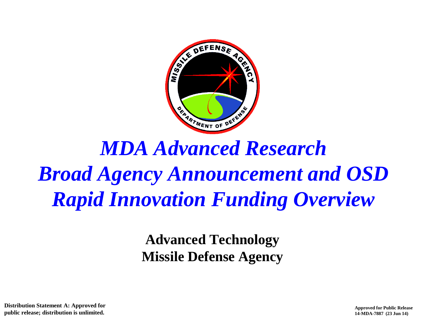

# *MDA Advanced Research Broad Agency Announcement and OSD Rapid Innovation Funding Overview*

**Advanced Technology Missile Defense Agency**

**Distribution Statement A: Approved for public release; distribution is unlimited.**

1 **Approved for Public Release 14-MDA-7887 (23 Jun 14)**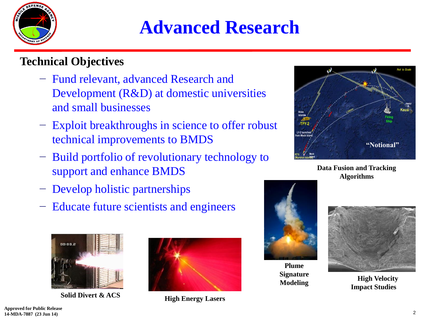

### **Advanced Research**

#### **Technical Objectives**

- − Fund relevant, advanced Research and Development (R&D) at domestic universities and small businesses
- − Exploit breakthroughs in science to offer robust technical improvements to BMDS
- − Build portfolio of revolutionary technology to support and enhance BMDS
- − Develop holistic partnerships
- − Educate future scientists and engineers



**Solid Divert & ACS High Energy Lasers**





**Data Fusion and Tracking Algorithms**



**Plume Signature** 



**Modeling High Velocity Impact Studies**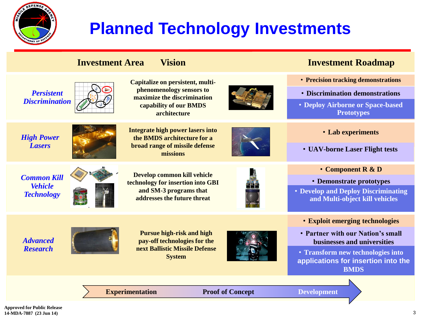

### **Planned Technology Investments**

|                                                           | <b>Investment Area</b>                            | <b>Vision</b>                                                                                                                         |                    | <b>Investment Roadmap</b>                                                               |
|-----------------------------------------------------------|---------------------------------------------------|---------------------------------------------------------------------------------------------------------------------------------------|--------------------|-----------------------------------------------------------------------------------------|
| <b>Persistent</b><br><b>Discrimination</b>                |                                                   | Capitalize on persistent, multi-<br>phenomenology sensors to<br>maximize the discrimination<br>capability of our BMDS<br>architecture |                    | • Precision tracking demonstrations                                                     |
|                                                           |                                                   |                                                                                                                                       |                    | <b>• Discrimination demonstrations</b>                                                  |
|                                                           |                                                   |                                                                                                                                       |                    | • Deploy Airborne or Space-based<br><b>Prototypes</b>                                   |
| <b>High Power</b><br><b>Lasers</b>                        |                                                   | <b>Integrate high power lasers into</b><br>the BMDS architecture for a<br>broad range of missile defense<br>missions                  |                    | • Lab experiments                                                                       |
|                                                           |                                                   |                                                                                                                                       |                    | • UAV-borne Laser Flight tests                                                          |
| <b>Common Kill</b><br><b>Vehicle</b><br><b>Technology</b> |                                                   | Develop common kill vehicle<br>technology for insertion into GBI<br>and SM-3 programs that<br>addresses the future threat             |                    | • Component R & D                                                                       |
|                                                           |                                                   |                                                                                                                                       |                    | • Demonstrate prototypes                                                                |
|                                                           |                                                   |                                                                                                                                       |                    | • Develop and Deploy Discriminating<br>and Multi-object kill vehicles                   |
| <b>Advanced</b><br><b>Research</b>                        |                                                   | <b>Pursue high-risk and high</b><br>pay-off technologies for the<br>next Ballistic Missile Defense<br><b>System</b>                   |                    | <b>• Exploit emerging technologies</b>                                                  |
|                                                           |                                                   |                                                                                                                                       |                    | • Partner with our Nation's small<br>businesses and universities                        |
|                                                           |                                                   |                                                                                                                                       |                    | • Transform new technologies into<br>applications for insertion into the<br><b>BMDS</b> |
|                                                           |                                                   |                                                                                                                                       |                    |                                                                                         |
|                                                           | <b>Experimentation</b><br><b>Proof of Concept</b> |                                                                                                                                       | <b>Development</b> |                                                                                         |
| nraved far Puhlic Release                                 |                                                   |                                                                                                                                       |                    |                                                                                         |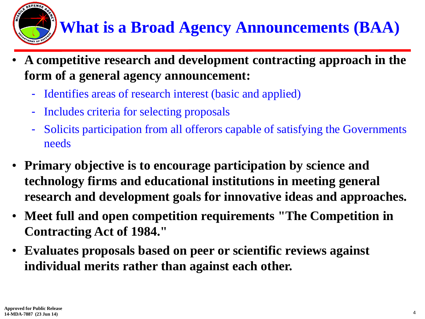## **What is a Broad Agency Announcements (BAA)**

- **A competitive research and development contracting approach in the form of a general agency announcement:**
	- Identifies areas of research interest (basic and applied)
	- Includes criteria for selecting proposals
	- Solicits participation from all offerors capable of satisfying the Governments needs
- **Primary objective is to encourage participation by science and technology firms and educational institutions in meeting general research and development goals for innovative ideas and approaches.**
- **Meet full and open competition requirements "The Competition in Contracting Act of 1984."**
- **Evaluates proposals based on peer or scientific reviews against individual merits rather than against each other.**

DEFENS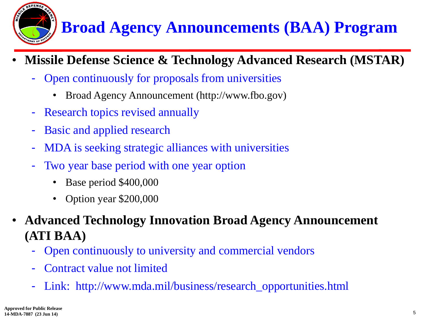

### **Broad Agency Announcements (BAA) Program**

- **Missile Defense Science & Technology Advanced Research (MSTAR)**
	- Open continuously for proposals from universities
		- Broad Agency Announcement (http://www.fbo.gov)
	- Research topics revised annually
	- Basic and applied research
	- MDA is seeking strategic alliances with universities
	- Two year base period with one year option
		- Base period \$400,000
		- Option year \$200,000
- **Advanced Technology Innovation Broad Agency Announcement (ATI BAA)**
	- Open continuously to university and commercial vendors
	- Contract value not limited
	- Link: http://www.mda.mil/business/research\_opportunities.html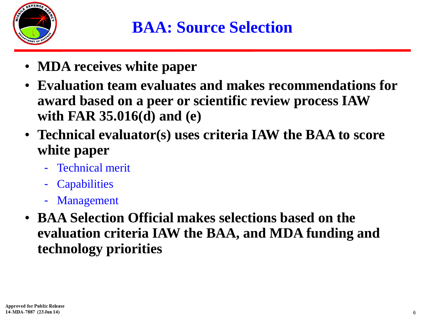

- **MDA receives white paper**
- **Evaluation team evaluates and makes recommendations for award based on a peer or scientific review process IAW with FAR 35.016(d) and (e)**
- **Technical evaluator(s) uses criteria IAW the BAA to score white paper**
	- Technical merit
	- **Capabilities**
	- **Management**
- **BAA Selection Official makes selections based on the evaluation criteria IAW the BAA, and MDA funding and technology priorities**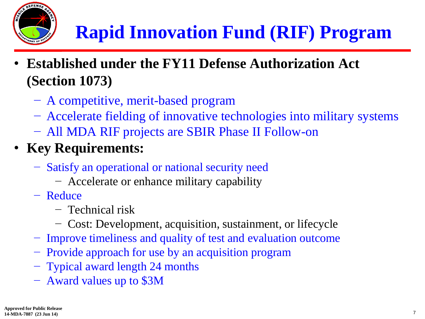

- **Established under the FY11 Defense Authorization Act (Section 1073)**
	- − A competitive, merit-based program
	- − Accelerate fielding of innovative technologies into military systems
	- − All MDA RIF projects are SBIR Phase II Follow-on
- **Key Requirements:**
	- − Satisfy an operational or national security need
		- − Accelerate or enhance military capability
	- − Reduce
		- − Technical risk
		- − Cost: Development, acquisition, sustainment, or lifecycle
	- − Improve timeliness and quality of test and evaluation outcome
	- − Provide approach for use by an acquisition program
	- − Typical award length 24 months
	- − Award values up to \$3M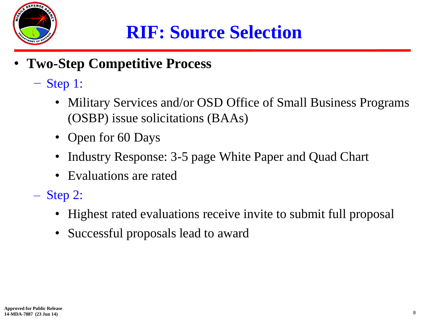

## **RIF: Source Selection**

- **Two-Step Competitive Process**
	- − Step 1:
		- Military Services and/or OSD Office of Small Business Programs (OSBP) issue solicitations (BAAs)
		- Open for 60 Days
		- Industry Response: 3-5 page White Paper and Quad Chart
		- Evaluations are rated
	- Step 2:
		- Highest rated evaluations receive invite to submit full proposal
		- Successful proposals lead to award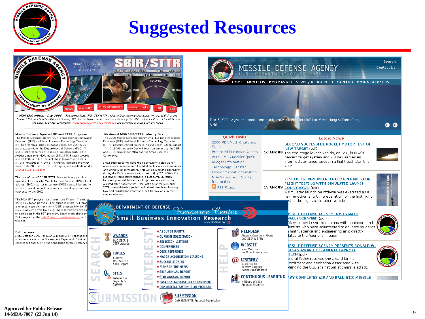

#### **Suggested Resources**

Calif

Week

**Quick Links** 

2009 MDA Math Challenge

Proposed European Assets

2009 BMDS Booklet (pdf)

**Environmental Information** 

MDA Safety and Quality

**Budget Information** 

**Technology Transfer** 

Information

RSS Feeds

MISSILE DEFENSE AGENCY

HOME ABOUT US BMD BASICS NEWS / RESOURCES CAREERS DOING BUSINESS

**Latest News** 

**SECOND SUCCESSFUL ROCKET MOTOR TEST OF** 

intermediate-range target in a flight test later this

**KINETIC ENERGY INTERCEPTOR PREPARES FOR** 

FLIGHT TESTING WITH SIMULATED LAUNCH

newest target system and will be used as an

U.S. DEPARTMENT OF DEFENSE

Dec. 5, 2008 - A ground-based interceptor is shown shortly after liftoff from Vandenberg Air Force Base,

vear

**NEW TARGET** (pdf)

16 APR 09 The two-stage launch vehicle, or LV-2, is MDA's



MDA SBIR Industry Day 2008 - Presentations: MDA SBIR/STTR Industry Day recently took place on August 6-7 at the Gaylord National Hotel in National Harbor, MD. The Industry Day focused on enhancing the SBIR and STTR Process for MDA and the Small Business Community. Presentations from the conference are currently available for download.

Community

5th Annual MDA SBIR/STTR Industry Day

and STTR process for MDA and the Small Business

The 2009 Missile Defense Agency Small Business Innovation

(STTR) Industry Day will be held in Long Beach, CA on August

11-12 2009 Industry Day will focus on enhancing the SRIR

Research (SBIR) and Small Business Technology Transfer

Small Businesses will have the opportunity to sign up for

reasons of competitive fairness, direct communication

between notential hidders and tonic authors will not be

allowed after August 24th - the last day of the SBIR and

STTR pre-solicitation period. Additional details on Industry

one-on-one sessions with key MDA technical representatives

and prime DoD contractors. This will be a great opportunity

during the DoD pre-solicitation period (July 27, 2009). For

Missile Defense Agency SBIR and STTR Programs The Missile Defense Agency (MDA) Small Business Innovation Research (SBIR) and Small Business Technology Transfer (STTR) programs issue solicitations once per year. MDA narticinates within the Denartment of Defense (DoD) 3 and .B solicitation, which is issued simultaneously in the August timeframe. MDA makes SBIR/STTR Phase I awards up to \$100k and the nominal Phase II award amount is \$1.0M. Previous SBIR and STTR topics, including the most recent SBIR 08.3 and STTR 08.B topics, are available on the DoD SRIR /STTR website

The goal of the MDA SBIR/STTR Program is to prioritize projects at the Ballistic Missile Defense System (BMDS) level, address BMDS gaps or foster new BMDS capabilities and to increase award amounts on projects based upon increased relevance to the BMDS.

13 APR 09 COUNTDOWN (pdf) Day and registration information will be available in the A simulated launch countdown was executed as a coming months. risk reduction effort in preparation for the first flight The MDA SBIR program also issues one Phase II Transition st of the high-acceleration vehicle (P2T) solicitation per year. The purpose of the P2T prog DEPARTMENT OF DEFENSE<br>Resource Center is to encourage the transition of SBIR projects into the BM Only firms with active DoD SBIR Phase II contracts are eli to participate in the P2T program. Learn more about the **SSILE DEFENSE AGENCY HOSTS MATH Small Business Innovation Research** P2T program in the SBIR Phase II Transition section of th **IALLENGE WEEK (pdf)** website A will provide speakers along with engineers and entists who have volunteered to educate students **HELPDESK** math, science and engineering as it directly **\* ABOUT SBIR/STTR** DoD Listserv Since October 2002, all DoD SBIR and STTR solicitations **Answers Questions About AWARDS** CURRENT SOLICITATION ates to the Agency's mission. **DoD SBIR & STTR** in accordance with the Government Paperwork Eliminati DoD SBIR & · SELECTION LISTINGS solicitations and events, then subscribe to their listserv. **STTR Awards** WEBSITE **ISSILE DEFENSE AGENCY PRESENTS RONALD W.** • CONFERENCES Main Website AGAN AWARD TO GENERAL LARRY D. **DESK REFERENCE** for More Information **TOPICS** ELCH (pdf) · MAJOR ACQUISITION LIAISONS Current Ineral Welch received the award for his **LISTSERV** ω DoD SBIR & · SUCCESS STORIES mmitment and dedication associated with Subscribe to **STTR Topics • FIRMS IN THE NEWS** Receive Program fending the U.S. against ballistic missile attack. Notices and Updates **SBIR ANNUAL REPORT SITIS CONTINUOUS LEARNING STTR ANNUAL REPORT NYY COMPLETES AIR AND BALLISTIC MISSILE** Interactive A library of SBIR **Topic Info • FAST TRACK/PHASE II ENHANCEMENT** System Program Resources COMMERCIALIZATION PILOT PROGRAM **SUBMISSION** DoD SBIR/STTR Proposal Submission

**Search** 

o o

**Contact Lis**